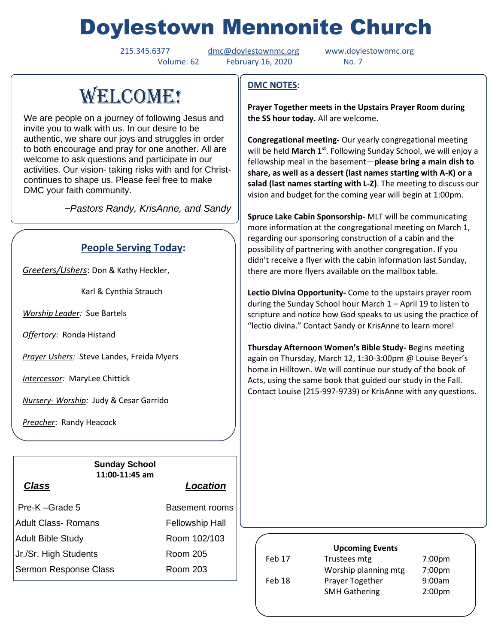# Doylestown Mennonite Church

Volume: 62 February 16, 2020 No. 7

215.345.6377 [dmc@doylestownmc.org](mailto:dmc@doylestownmc.org) www.doylestownmc.org

# WELCOME!

We are people on a journey of following Jesus and invite you to walk with us. In our desire to be authentic, we share our joys and struggles in order to both encourage and pray for one another. All are welcome to ask questions and participate in our activities. Our vision- taking risks with and for Christcontinues to shape us. Please feel free to make DMC your faith community.

 *~Pastors Randy, KrisAnne, and Sandy*

## **People Serving Today:**

*Greeters/Ushers*: Don & Kathy Heckler,

Karl & Cynthia Strauch

*Worship Leader:* Sue Bartels

*Offertory*: Ronda Histand

*Prayer Ushers:* Steve Landes, Freida Myers

*Intercessor:* MaryLee Chittick

*Nursery- Worship:* Judy & Cesar Garrido

*Preacher*: Randy Heacock

#### **Sunday School 11:00-11:45 am**

### *Class Location*

| Pre-K-Grade 5         | Basement rooms         |
|-----------------------|------------------------|
| Adult Class- Romans   | <b>Fellowship Hall</b> |
| Adult Bible Study     | Room 102/103           |
| Jr./Sr. High Students | Room 205               |
| Sermon Response Class | Room 203               |
|                       |                        |

## **DMC NOTES:**

**Prayer Together meets in the Upstairs Prayer Room during the SS hour today.** All are welcome.

**Congregational meeting-** Our yearly congregational meeting will be held **March 1st** . Following Sunday School, we will enjoy a fellowship meal in the basement—**please bring a main dish to share, as well as a dessert (last names starting with A-K) or a salad (last names starting with L-Z)**. The meeting to discuss our vision and budget for the coming year will begin at 1:00pm.

**Spruce Lake Cabin Sponsorship-** MLT will be communicating more information at the congregational meeting on March 1, regarding our sponsoring construction of a cabin and the possibility of partnering with another congregation. If you didn't receive a flyer with the cabin information last Sunday, there are more flyers available on the mailbox table.

**Lectio Divina Opportunity-** Come to the upstairs prayer room during the Sunday School hour March 1 – April 19 to listen to scripture and notice how God speaks to us using the practice of "lectio divina." Contact Sandy or KrisAnne to learn more!

**Thursday Afternoon Women's Bible Study- B**egins meeting again on Thursday, March 12, 1:30-3:00pm @ Louise Beyer's home in Hilltown. We will continue our study of the book of Acts, using the same book that guided our study in the Fall. Contact Louise (215-997-9739) or KrisAnne with any questions.

## **Upcoming Events** Feb 17 Trustees mtg 7:00pm Worship planning mtg 7:00pm Feb 18 Prayer Together 9:00am

SMH Gathering 2:00pm